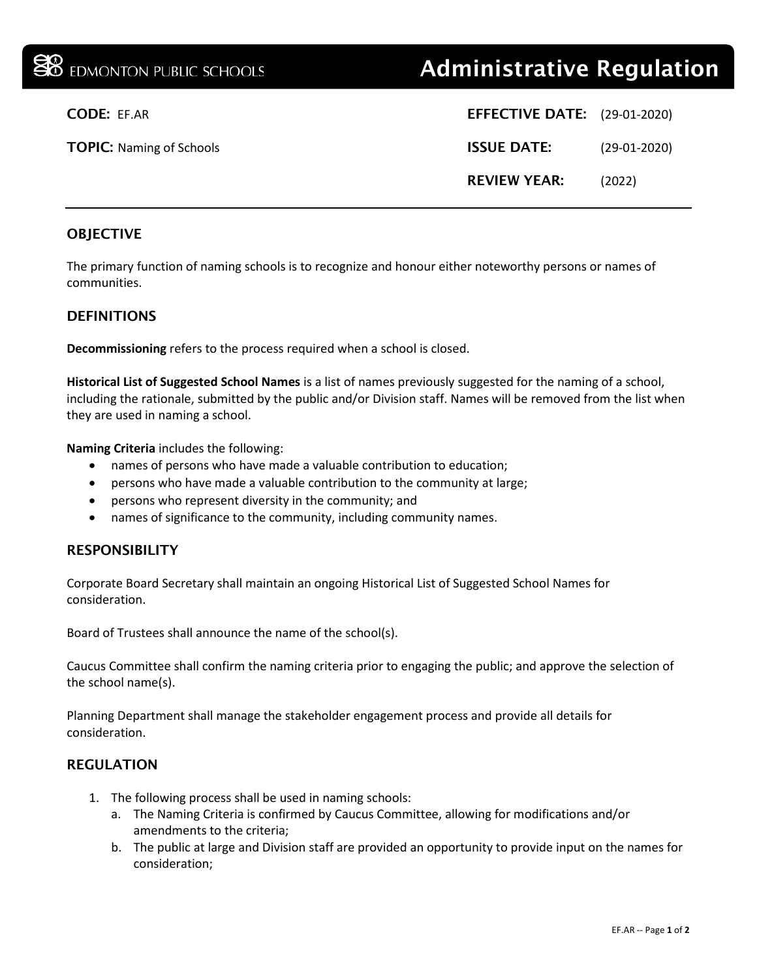| <b>SO</b> EDMONTON PUBLIC SCHOOLS | <b>Administrative Regulation</b>     |  |
|-----------------------------------|--------------------------------------|--|
| <b>CODE: EF.AR</b>                | <b>EFFECTIVE DATE:</b> (29-01-2020)  |  |
| <b>TOPIC: Naming of Schools</b>   | <b>ISSUE DATE:</b><br>$(29-01-2020)$ |  |
|                                   | <b>REVIEW YEAR:</b><br>(2022)        |  |
|                                   |                                      |  |

## **OBJECTIVE**

The primary function of naming schools is to recognize and honour either noteworthy persons or names of communities.

### **DEFINITIONS**

**Decommissioning** refers to the process required when a school is closed.

**Historical List of Suggested School Names** is a list of names previously suggested for the naming of a school, including the rationale, submitted by the public and/or Division staff. Names will be removed from the list when they are used in naming a school.

**Naming Criteria** includes the following:

- names of persons who have made a valuable contribution to education;
- persons who have made a valuable contribution to the community at large;
- persons who represent diversity in the community; and
- names of significance to the community, including community names.

#### RESPONSIBILITY

Corporate Board Secretary shall maintain an ongoing Historical List of Suggested School Names for consideration.

Board of Trustees shall announce the name of the school(s).

Caucus Committee shall confirm the naming criteria prior to engaging the public; and approve the selection of the school name(s).

Planning Department shall manage the stakeholder engagement process and provide all details for consideration.

#### REGULATION

- 1. The following process shall be used in naming schools:
	- a. The Naming Criteria is confirmed by Caucus Committee, allowing for modifications and/or amendments to the criteria;
	- b. The public at large and Division staff are provided an opportunity to provide input on the names for consideration;